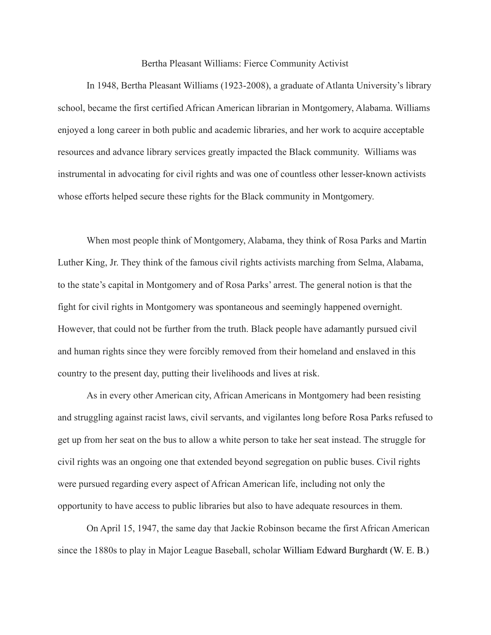Bertha Pleasant Williams: Fierce Community Activist

In 1948, Bertha Pleasant Williams (1923-2008), a graduate of Atlanta University's library school, became the first certified African American librarian in Montgomery, Alabama. Williams enjoyed a long career in both public and academic libraries, and her work to acquire acceptable resources and advance library services greatly impacted the Black community. Williams was instrumental in advocating for civil rights and was one of countless other lesser-known activists whose efforts helped secure these rights for the Black community in Montgomery.

When most people think of Montgomery, Alabama, they think of Rosa Parks and Martin Luther King, Jr. They think of the famous civil rights activists marching from Selma, Alabama, to the state's capital in Montgomery and of Rosa Parks' arrest. The general notion is that the fight for civil rights in Montgomery was spontaneous and seemingly happened overnight. However, that could not be further from the truth. Black people have adamantly pursued civil and human rights since they were forcibly removed from their homeland and enslaved in this country to the present day, putting their livelihoods and lives at risk.

As in every other American city, African Americans in Montgomery had been resisting and struggling against racist laws, civil servants, and vigilantes long before Rosa Parks refused to get up from her seat on the bus to allow a white person to take her seat instead. The struggle for civil rights was an ongoing one that extended beyond segregation on public buses. Civil rights were pursued regarding every aspect of African American life, including not only the opportunity to have access to public libraries but also to have adequate resources in them.

On April 15, 1947, the same day that Jackie Robinson became the first African American since the 1880s to play in Major League Baseball, scholar William Edward Burghardt (W. E. B.)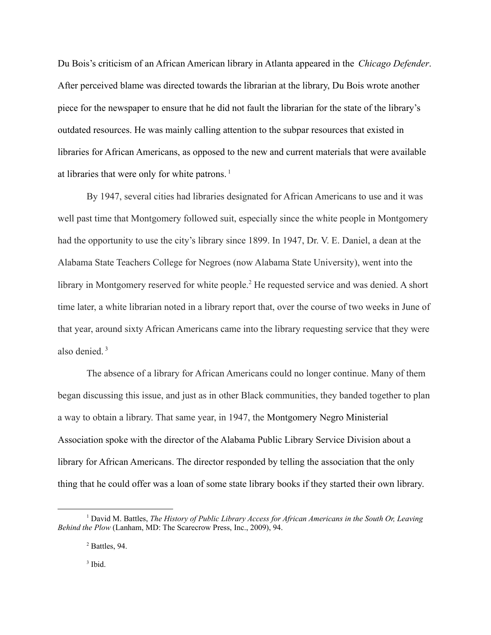Du Bois's criticism of an African American library in Atlanta appeared in the *Chicago Defender*. After perceived blame was directed towards the librarian at the library, Du Bois wrote another piece for the newspaper to ensure that he did not fault the librarian for the state of the library's outdated resources. He was mainly calling attention to the subpar resources that existed in libraries for African Americans, as opposed to the new and current materials that were available at libraries that were only for white patrons.<sup>1</sup>

By 1947, several cities had libraries designated for African Americans to use and it was well past time that Montgomery followed suit, especially since the white people in Montgomery had the opportunity to use the city's library since 1899. In 1947, Dr. V. E. Daniel, a dean at the Alabama State Teachers College for Negroes (now Alabama State University), went into the library in Montgomery reserved for white people.<sup>2</sup> He requested service and was denied. A short time later, a white librarian noted in a library report that, over the course of two weeks in June of that year, around sixty African Americans came into the library requesting service that they were also denied. <sup>3</sup>

The absence of a library for African Americans could no longer continue. Many of them began discussing this issue, and just as in other Black communities, they banded together to plan a way to obtain a library. That same year, in 1947, the Montgomery Negro Ministerial Association spoke with the director of the Alabama Public Library Service Division about a library for African Americans. The director responded by telling the association that the only thing that he could offer was a loan of some state library books if they started their own library.

3 Ibid.

<sup>1</sup> David M. Battles, *The History of Public Library Access for African Americans in the South Or, Leaving Behind the Plow* (Lanham, MD: The Scarecrow Press, Inc., 2009), 94.

<sup>2</sup> Battles, 94.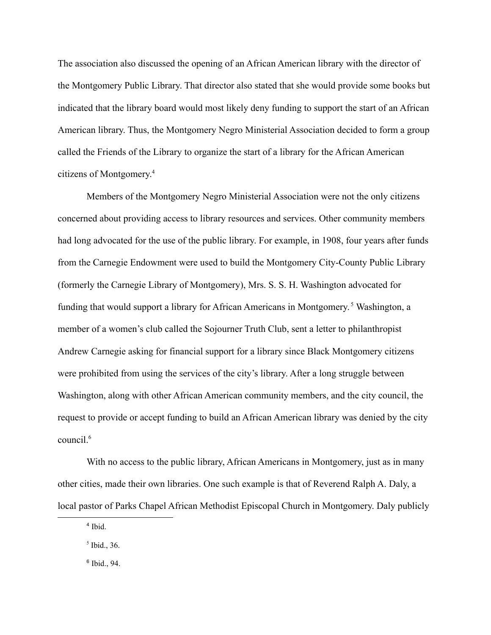The association also discussed the opening of an African American library with the director of the Montgomery Public Library. That director also stated that she would provide some books but indicated that the library board would most likely deny funding to support the start of an African American library. Thus, the Montgomery Negro Ministerial Association decided to form a group called the Friends of the Library to organize the start of a library for the African American citizens of Montgomery. 4

Members of the Montgomery Negro Ministerial Association were not the only citizens concerned about providing access to library resources and services. Other community members had long advocated for the use of the public library. For example, in 1908, four years after funds from the Carnegie Endowment were used to build the Montgomery City-County Public Library (formerly the Carnegie Library of Montgomery), Mrs. S. S. H. Washington advocated for funding that would support a library for African Americans in Montgomery. <sup>5</sup> Washington, a member of a women's club called the Sojourner Truth Club, sent a letter to philanthropist Andrew Carnegie asking for financial support for a library since Black Montgomery citizens were prohibited from using the services of the city's library. After a long struggle between Washington, along with other African American community members, and the city council, the request to provide or accept funding to build an African American library was denied by the city council.<sup>6</sup>

With no access to the public library, African Americans in Montgomery, just as in many other cities, made their own libraries. One such example is that of Reverend Ralph A. Daly, a local pastor of Parks Chapel African Methodist Episcopal Church in Montgomery. Daly publicly

6 Ibid., 94.

<sup>4</sup> Ibid.

<sup>5</sup> Ibid., 36.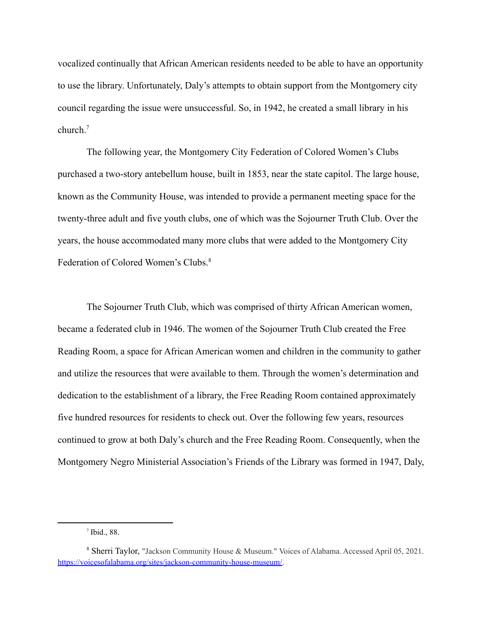vocalized continually that African American residents needed to be able to have an opportunity to use the library. Unfortunately, Daly's attempts to obtain support from the Montgomery city council regarding the issue were unsuccessful. So, in 1942, he created a small library in his church<sup>7</sup>

The following year, the Montgomery City Federation of Colored Women's Clubs purchased a two-story antebellum house, built in 1853, near the state capitol. The large house, known as the Community House, was intended to provide a permanent meeting space for the twenty-three adult and five youth clubs, one of which was the Sojourner Truth Club. Over the years, the house accommodated many more clubs that were added to the Montgomery City Federation of Colored Women's Clubs.<sup>8</sup>

The Sojourner Truth Club, which was comprised of thirty African American women, became a federated club in 1946. The women of the Sojourner Truth Club created the Free Reading Room, a space for African American women and children in the community to gather and utilize the resources that were available to them. Through the women's determination and dedication to the establishment of a library, the Free Reading Room contained approximately five hundred resources for residents to check out. Over the following few years, resources continued to grow at both Daly's church and the Free Reading Room. Consequently, when the Montgomery Negro Ministerial Association's Friends of the Library was formed in 1947, Daly,

<sup>7</sup> Ibid., 88.

<sup>8</sup> Sherri Taylor, "Jackson Community House & Museum." Voices of Alabama. Accessed April 05, 2021. [https://voicesofalabama.org/sites/jackson-community-house-museum/.](https://voicesofalabama.org/sites/jackson-community-house-museum/)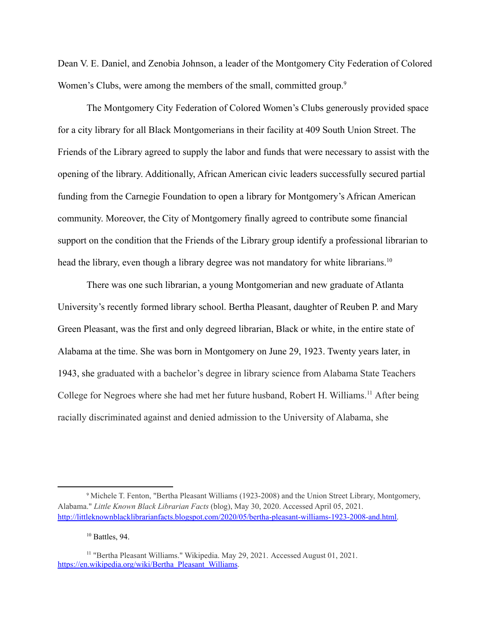Dean V. E. Daniel, and Zenobia Johnson, a leader of the Montgomery City Federation of Colored Women's Clubs, were among the members of the small, committed group.<sup>9</sup>

The Montgomery City Federation of Colored Women's Clubs generously provided space for a city library for all Black Montgomerians in their facility at 409 South Union Street. The Friends of the Library agreed to supply the labor and funds that were necessary to assist with the opening of the library. Additionally, African American civic leaders successfully secured partial funding from the Carnegie Foundation to open a library for Montgomery's African American community. Moreover, the City of Montgomery finally agreed to contribute some financial support on the condition that the Friends of the Library group identify a professional librarian to head the library, even though a library degree was not mandatory for white librarians.<sup>10</sup>

There was one such librarian, a young Montgomerian and new graduate of Atlanta University's recently formed library school. Bertha Pleasant, daughter of Reuben P. and Mary Green Pleasant, was the first and only degreed librarian, Black or white, in the entire state of Alabama at the time. She was born in Montgomery on June 29, 1923. Twenty years later, in 1943, she graduated with a bachelor's degree in library science from Alabama State Teachers College for Negroes where she had met her future husband, Robert H. Williams.<sup>11</sup> After being racially discriminated against and denied admission to the University of Alabama, she

<sup>9</sup> Michele T. Fenton, "Bertha Pleasant Williams (1923-2008) and the Union Street Library, Montgomery, Alabama." *Little Known Black Librarian Facts* (blog), May 30, 2020. Accessed April 05, 2021. [http://littleknownblacklibrarianfacts.blogspot.com/2020/05/bertha-pleasant-williams-1923-2008-and.html.](http://littleknownblacklibrarianfacts.blogspot.com/2020/05/bertha-pleasant-williams-1923-2008-and.html)

 $10$  Battles, 94.

<sup>11</sup> "Bertha Pleasant Williams." Wikipedia. May 29, 2021. Accessed August 01, 2021. [https://en.wikipedia.org/wiki/Bertha\\_Pleasant\\_Williams](https://en.wikipedia.org/wiki/Bertha_Pleasant_Williams).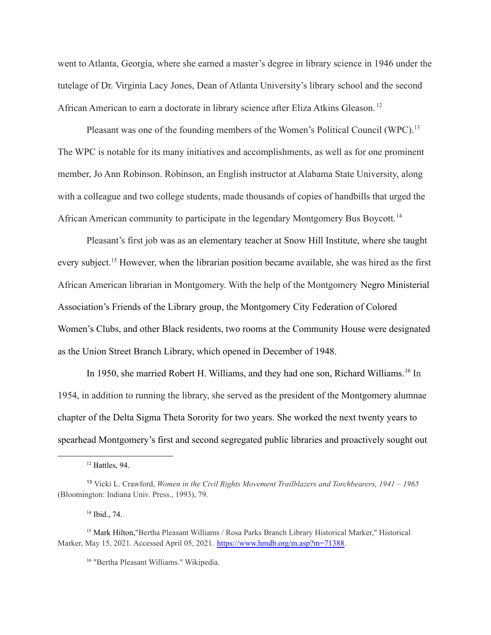went to Atlanta, Georgia, where she earned a master's degree in library science in 1946 under the tutelage of Dr. Virginia Lacy Jones, Dean of Atlanta University's library school and the second African American to earn a doctorate in library science after Eliza Atkins Gleason. <sup>12</sup>

Pleasant was one of the founding members of the Women's Political Council (WPC).<sup>13</sup> The WPC is notable for its many initiatives and accomplishments, as well as for one prominent member, Jo Ann Robinson. Robinson, an English instructor at Alabama State University, along with a colleague and two college students, made thousands of copies of handbills that urged the African American community to participate in the legendary Montgomery Bus Boycott. <sup>14</sup>

Pleasant's first job was as an elementary teacher at Snow Hill Institute, where she taught every subject.<sup>15</sup> However, when the librarian position became available, she was hired as the first African American librarian in Montgomery. With the help of the Montgomery Negro Ministerial Association's Friends of the Library group, the Montgomery City Federation of Colored Women's Clubs, and other Black residents, two rooms at the Community House were designated as the Union Street Branch Library, which opened in December of 1948.

In 1950, she married Robert H. Williams, and they had one son, Richard Williams.<sup>16</sup> In 1954, in addition to running the library, she served as the president of the Montgomery alumnae chapter of the Delta Sigma Theta Sorority for two years. She worked the next twenty years to spearhead Montgomery's first and second segregated public libraries and proactively sought out

<sup>16</sup> "Bertha Pleasant Williams." Wikipedia.

<sup>12</sup> Battles, 94.

<sup>13</sup> Vicki L. Crawford, *Women in the Civil Rights Movement Trailblazers and Torchbearers, 1941 – 1965* (Bloomington: Indiana Univ. Press., 1993), 79.

<sup>14</sup> Ibid., 74.

<sup>15</sup> Mark Hilton,"Bertha Pleasant Williams / Rosa Parks Branch Library Historical Marker," Historical Marker, May 15, 2021. Accessed April 05, 2021. [https://www.hmdb.org/m.asp?m=71388.](https://www.hmdb.org/m.asp?m=71388)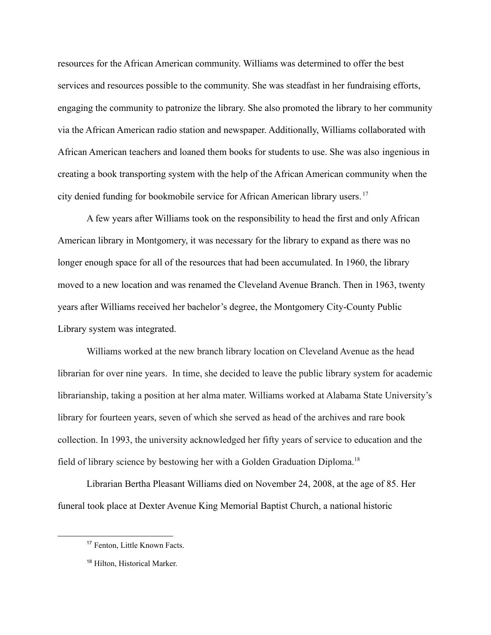resources for the African American community. Williams was determined to offer the best services and resources possible to the community. She was steadfast in her fundraising efforts, engaging the community to patronize the library. She also promoted the library to her community via the African American radio station and newspaper. Additionally, Williams collaborated with African American teachers and loaned them books for students to use. She was also ingenious in creating a book transporting system with the help of the African American community when the city denied funding for bookmobile service for African American library users. <sup>17</sup>

A few years after Williams took on the responsibility to head the first and only African American library in Montgomery, it was necessary for the library to expand as there was no longer enough space for all of the resources that had been accumulated. In 1960, the library moved to a new location and was renamed the Cleveland Avenue Branch. Then in 1963, twenty years after Williams received her bachelor's degree, the Montgomery City-County Public Library system was integrated.

Williams worked at the new branch library location on Cleveland Avenue as the head librarian for over nine years. In time, she decided to leave the public library system for academic librarianship, taking a position at her alma mater. Williams worked at Alabama State University's library for fourteen years, seven of which she served as head of the archives and rare book collection. In 1993, the university acknowledged her fifty years of service to education and the field of library science by bestowing her with a Golden Graduation Diploma.<sup>18</sup>

Librarian Bertha Pleasant Williams died on November 24, 2008, at the age of 85. Her funeral took place at Dexter Avenue King Memorial Baptist Church, a national historic

<sup>17</sup> Fenton, Little Known Facts.

<sup>18</sup> Hilton, Historical Marker.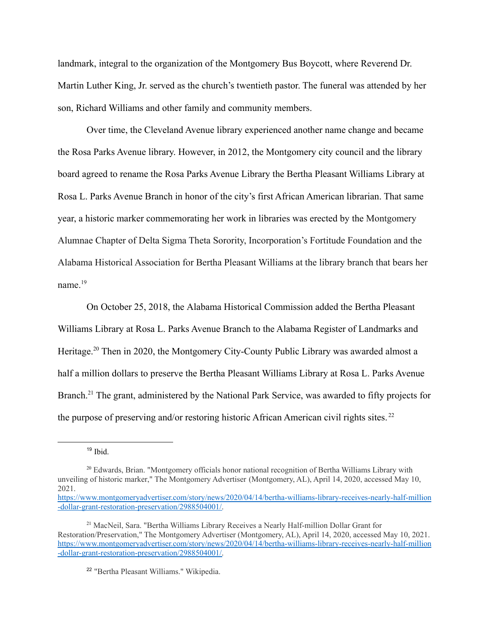landmark, integral to the organization of the Montgomery Bus Boycott, where Reverend Dr. Martin Luther King, Jr. served as the church's twentieth pastor. The funeral was attended by her son, Richard Williams and other family and community members.

Over time, the Cleveland Avenue library experienced another name change and became the Rosa Parks Avenue library. However, in 2012, the Montgomery city council and the library board agreed to rename the Rosa Parks Avenue Library the Bertha Pleasant Williams Library at Rosa L. Parks Avenue Branch in honor of the city's first African American librarian. That same year, a historic marker commemorating her work in libraries was erected by the Montgomery Alumnae Chapter of Delta Sigma Theta Sorority, Incorporation's Fortitude Foundation and the Alabama Historical Association for Bertha Pleasant Williams at the library branch that bears her name<sup>19</sup>

On October 25, 2018, the Alabama Historical Commission added the Bertha Pleasant Williams Library at Rosa L. Parks Avenue Branch to the Alabama Register of Landmarks and Heritage.<sup>20</sup> Then in 2020, the Montgomery City-County Public Library was awarded almost a half a million dollars to preserve the Bertha Pleasant Williams Library at Rosa L. Parks Avenue Branch.<sup>21</sup> The grant, administered by the National Park Service, was awarded to fifty projects for the purpose of preserving and/or restoring historic African American civil rights sites. <sup>22</sup>

 $19$  Ibid.

<sup>&</sup>lt;sup>20</sup> Edwards, Brian. "Montgomery officials honor national recognition of Bertha Williams Library with unveiling of historic marker," The Montgomery Advertiser (Montgomery, AL), April 14, 2020, accessed May 10, 2021.

[https://www.montgomeryadvertiser.com/story/news/2020/04/14/bertha-williams-library-receives-nearly-half-million](https://www.montgomeryadvertiser.com/story/news/2020/04/14/bertha-williams-library-receives-nearly-half-million-dollar-grant-restoration-preservation/2988504001/) [-dollar-grant-restoration-preservation/2988504001/.](https://www.montgomeryadvertiser.com/story/news/2020/04/14/bertha-williams-library-receives-nearly-half-million-dollar-grant-restoration-preservation/2988504001/)

<sup>21</sup> MacNeil, Sara. "Bertha Williams Library Receives a Nearly Half-million Dollar Grant for Restoration/Preservation," The Montgomery Advertiser (Montgomery, AL), April 14, 2020, accessed May 10, 2021. [https://www.montgomeryadvertiser.com/story/news/2020/04/14/bertha-williams-library-receives-nearly-half-million](https://www.montgomeryadvertiser.com/story/news/2020/04/14/bertha-williams-library-receives-nearly-half-million-dollar-grant-restoration-preservation/2988504001/) [-dollar-grant-restoration-preservation/2988504001/.](https://www.montgomeryadvertiser.com/story/news/2020/04/14/bertha-williams-library-receives-nearly-half-million-dollar-grant-restoration-preservation/2988504001/)

<sup>22</sup> "Bertha Pleasant Williams." Wikipedia.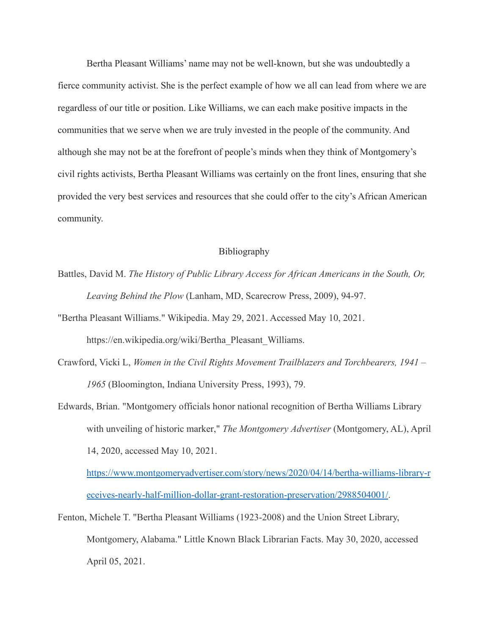Bertha Pleasant Williams' name may not be well-known, but she was undoubtedly a fierce community activist. She is the perfect example of how we all can lead from where we are regardless of our title or position. Like Williams, we can each make positive impacts in the communities that we serve when we are truly invested in the people of the community. And although she may not be at the forefront of people's minds when they think of Montgomery's civil rights activists, Bertha Pleasant Williams was certainly on the front lines, ensuring that she provided the very best services and resources that she could offer to the city's African American community.

## Bibliography

- Battles, David M. *The History of Public Library Access for African Americans in the South, Or, Leaving Behind the Plow* (Lanham, MD, Scarecrow Press, 2009), 94-97.
- "Bertha Pleasant Williams." Wikipedia. May 29, 2021. Accessed May 10, 2021. https://en.wikipedia.org/wiki/Bertha\_Pleasant\_Williams.
- Crawford, Vicki L, *Women in the Civil Rights Movement Trailblazers and Torchbearers, 1941 – 1965* (Bloomington, Indiana University Press, 1993), 79.
- Edwards, Brian. "Montgomery officials honor national recognition of Bertha Williams Library with unveiling of historic marker," *The Montgomery Advertiser* (Montgomery, AL), April 14, 2020, accessed May 10, 2021.

[https://www.montgomeryadvertiser.com/story/news/2020/04/14/bertha-williams-library-r](https://www.montgomeryadvertiser.com/story/news/2020/04/14/bertha-williams-library-receives-nearly-half-million-dollar-grant-restoration-preservation/2988504001/) [eceives-nearly-half-million-dollar-grant-restoration-preservation/2988504001/](https://www.montgomeryadvertiser.com/story/news/2020/04/14/bertha-williams-library-receives-nearly-half-million-dollar-grant-restoration-preservation/2988504001/).

Fenton, Michele T. "Bertha Pleasant Williams (1923-2008) and the Union Street Library, Montgomery, Alabama." Little Known Black Librarian Facts. May 30, 2020, accessed April 05, 2021.